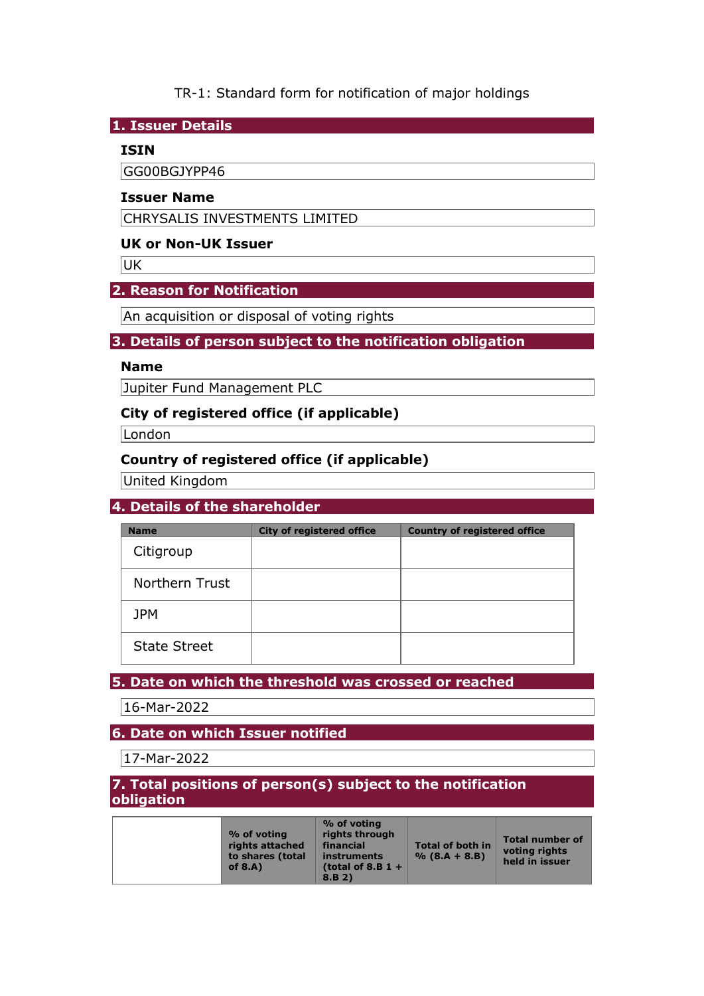## TR-1: Standard form for notification of major holdings

#### **1. Issuer Details**

### **ISIN**

GG00BGJYPP46

#### **Issuer Name**

CHRYSALIS INVESTMENTS LIMITED

### **UK or Non-UK Issuer**

UK

### **2. Reason for Notification**

An acquisition or disposal of voting rights

### **3. Details of person subject to the notification obligation**

## **Name**

Jupiter Fund Management PLC

### **City of registered office (if applicable)**

**London** 

# **Country of registered office (if applicable)**

United Kingdom

## **4. Details of the shareholder**

| <b>Name</b>         | <b>City of registered office</b> | <b>Country of registered office</b> |
|---------------------|----------------------------------|-------------------------------------|
| Citigroup           |                                  |                                     |
| Northern Trust      |                                  |                                     |
| <b>JPM</b>          |                                  |                                     |
| <b>State Street</b> |                                  |                                     |

## **5. Date on which the threshold was crossed or reached**

16-Mar-2022

## **6. Date on which Issuer notified**

17-Mar-2022

### **7. Total positions of person(s) subject to the notification obligation**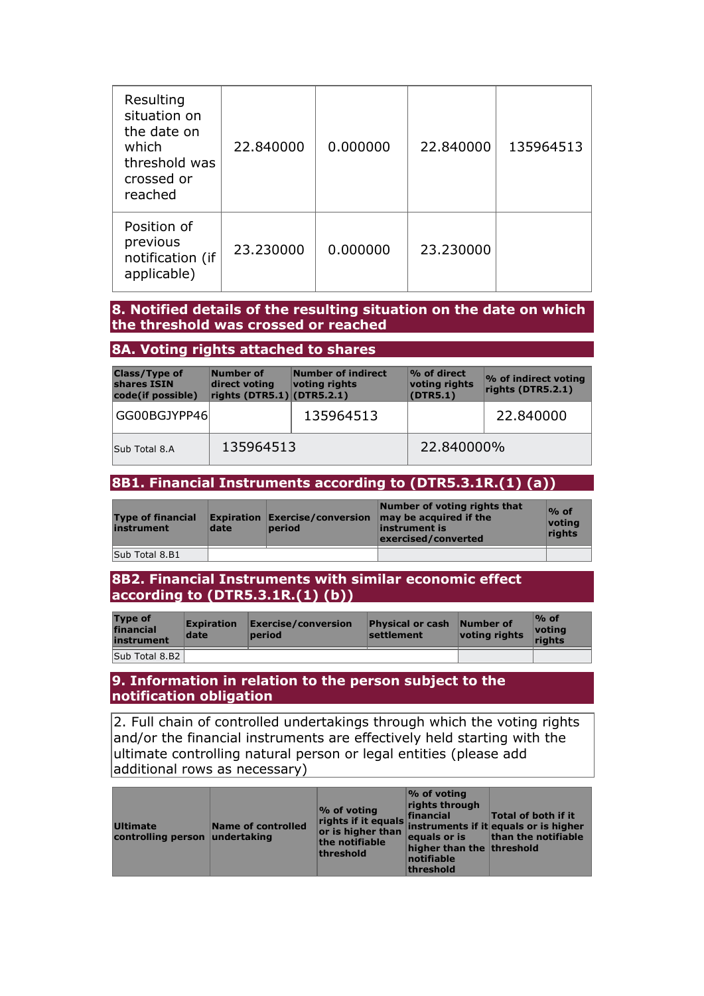| Resulting<br>situation on<br>the date on<br>which<br>threshold was<br>crossed or<br>reached | 22.840000 | 0.000000 | 22.840000 | 135964513 |
|---------------------------------------------------------------------------------------------|-----------|----------|-----------|-----------|
| Position of<br>previous<br>notification (if<br>applicable)                                  | 23,230000 | 0.000000 | 23,230000 |           |

### **8. Notified details of the resulting situation on the date on which the threshold was crossed or reached**

### **8A. Voting rights attached to shares**

| <b>Class/Type of</b><br>shares ISIN<br>code(if possible) | Number of<br>direct voting<br>rights $(DTR5.1)$ (DTR5.2.1) | Number of indirect<br>voting rights | % of direct<br>voting rights<br>(DTR5.1) | % of indirect voting<br>rights (DTR5.2.1) |
|----------------------------------------------------------|------------------------------------------------------------|-------------------------------------|------------------------------------------|-------------------------------------------|
| GG00BGJYPP46                                             |                                                            | 135964513                           |                                          | 22.840000                                 |
| Sub Total 8.A                                            | 135964513                                                  |                                     | 22.840000%                               |                                           |

#### **8B1. Financial Instruments according to (DTR5.3.1R.(1) (a))**

| <b>Type of financial</b><br>instrument | date | period | Number of voting rights that<br><b>Expiration Exercise/conversion <math>\vert</math> may be acquired if the</b><br>instrument is<br>exercised/converted | $%$ of<br>voting<br>rights |
|----------------------------------------|------|--------|---------------------------------------------------------------------------------------------------------------------------------------------------------|----------------------------|
| Sub Total 8.B1                         |      |        |                                                                                                                                                         |                            |

### **8B2. Financial Instruments with similar economic effect according to (DTR5.3.1R.(1) (b))**

| <b>Type of</b><br>financial<br>instrument | <b>Expiration</b><br>date | $\mathsf{Exercise}/\mathsf{conversion}$<br>period | <b>Physical or cash</b><br>settlement | Number of<br>voting rights | $\%$ of<br>votina<br>riahts |
|-------------------------------------------|---------------------------|---------------------------------------------------|---------------------------------------|----------------------------|-----------------------------|
| Sub Total 8.B2                            |                           |                                                   |                                       |                            |                             |

#### **9. Information in relation to the person subject to the notification obligation**

2. Full chain of controlled undertakings through which the voting rights and/or the financial instruments are effectively held starting with the ultimate controlling natural person or legal entities (please add additional rows as necessary)

| rights if it equals financial Total of both if it<br>or is higher than instruments if it equals or is higher<br>Ultimate<br>Name of controlled<br>controlling person undertaking<br>the notifiable<br>threshold | $\%$ of voting<br>rights through<br>higher than the threshold<br>notifiable<br>threshold | equals or is than the notifiable |
|-----------------------------------------------------------------------------------------------------------------------------------------------------------------------------------------------------------------|------------------------------------------------------------------------------------------|----------------------------------|
|-----------------------------------------------------------------------------------------------------------------------------------------------------------------------------------------------------------------|------------------------------------------------------------------------------------------|----------------------------------|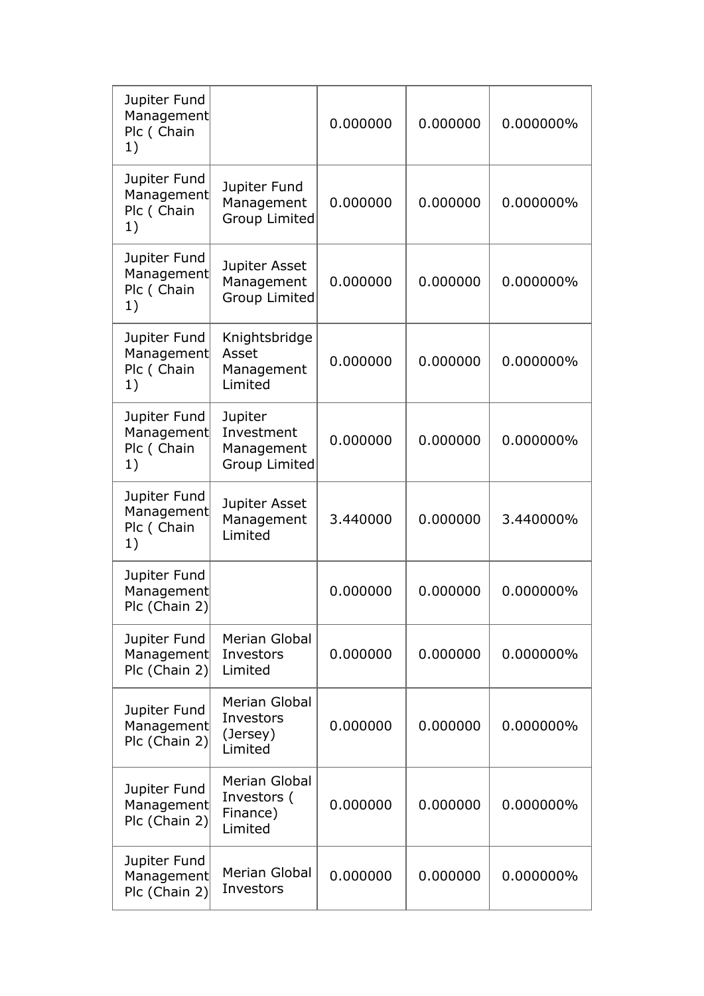| Jupiter Fund<br>Management<br>Plc (Chain<br>1) |                                                             | 0.000000 | 0.000000 | 0.000000% |
|------------------------------------------------|-------------------------------------------------------------|----------|----------|-----------|
| Jupiter Fund<br>Management<br>Plc (Chain<br>1) | Jupiter Fund<br>Management<br><b>Group Limited</b>          | 0.000000 | 0.000000 | 0.000000% |
| Jupiter Fund<br>Management<br>Plc (Chain<br>1) | Jupiter Asset<br>Management<br><b>Group Limited</b>         | 0.000000 | 0.000000 | 0.000000% |
| Jupiter Fund<br>Management<br>Plc (Chain<br>1) | Knightsbridge<br>Asset<br>Management<br>Limited             | 0.000000 | 0.000000 | 0.000000% |
| Jupiter Fund<br>Management<br>Plc (Chain<br>1) | Jupiter<br>Investment<br>Management<br><b>Group Limited</b> | 0.000000 | 0.000000 | 0.000000% |
| Jupiter Fund<br>Management<br>Plc (Chain<br>1) | Jupiter Asset<br>Management<br>Limited                      | 3.440000 | 0.000000 | 3.440000% |
| Jupiter Fund<br>Management<br>Plc (Chain 2)    |                                                             | 0.000000 | 0.000000 | 0.000000% |
| Jupiter Fund<br>Management<br>Plc (Chain 2)    | <b>Merian Global</b><br>Investors<br>Limited                | 0.000000 | 0.000000 | 0.000000% |
| Jupiter Fund<br>Management<br>Plc (Chain 2)    | Merian Global<br>Investors<br>(Jersey)<br>Limited           | 0.000000 | 0.000000 | 0.000000% |
| Jupiter Fund<br>Management<br>Plc (Chain 2)    | Merian Global<br>Investors (<br>Finance)<br>Limited         | 0.000000 | 0.000000 | 0.000000% |
| Jupiter Fund<br>Management<br>Plc (Chain 2)    | <b>Merian Global</b><br>Investors                           | 0.000000 | 0.000000 | 0.000000% |